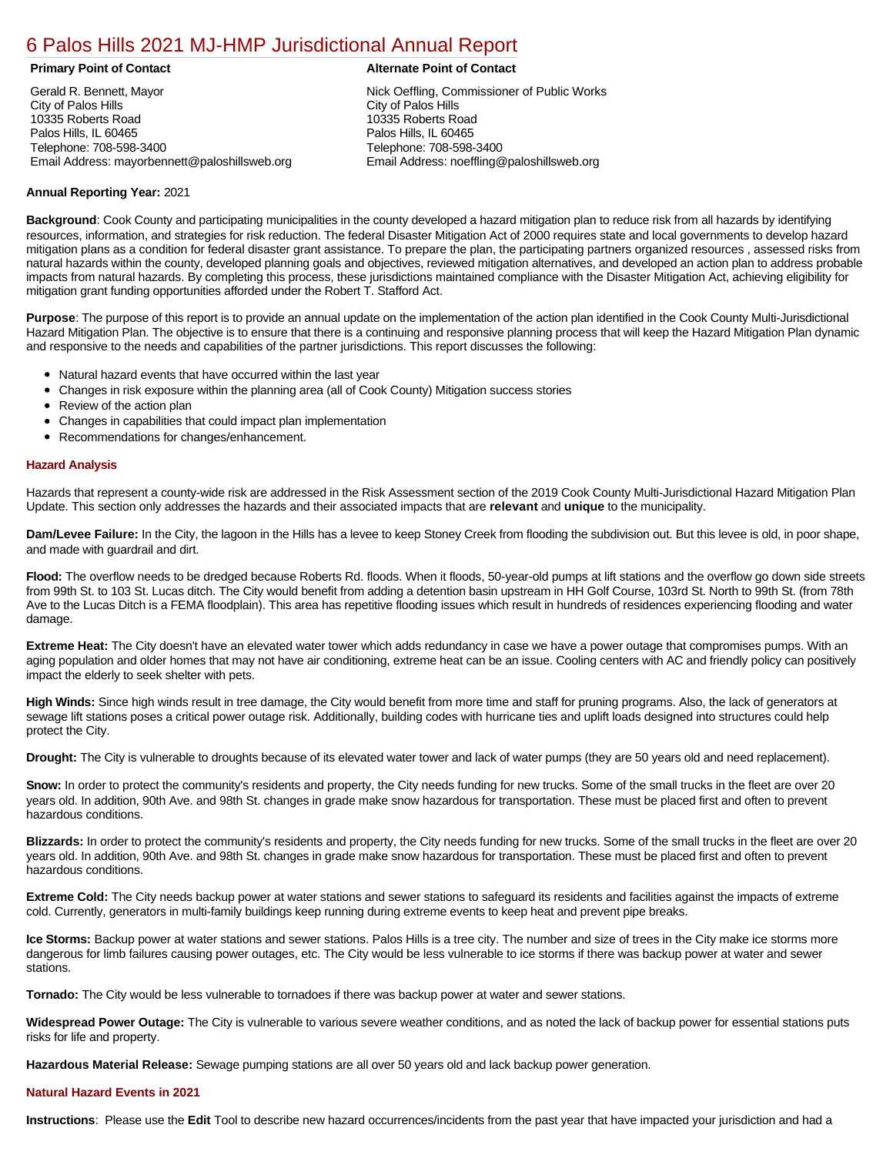# [6 Palos Hills 2021 MJ-HMP Jurisdictional Annual Report](https://paloshills.isc-cemp.com/Cemp/Details?id=8322863)

Gerald R. Bennett, Mayor City of Palos Hills 10335 Roberts Road Palos Hills, IL 60465 Telephone: 708-598-3400 Email Address: mayorbennett@paloshillsweb.org

#### **Primary Point of Contact Alternate Point of Contact**

Nick Oeffling, Commissioner of Public Works City of Palos Hills 10335 Roberts Road Palos Hills, IL 60465 Telephone: 708-598-3400 Email Address: noeffling@paloshillsweb.org

#### **Annual Reporting Year:** 2021

**Background**: Cook County and participating municipalities in the county developed a hazard mitigation plan to reduce risk from all hazards by identifying resources, information, and strategies for risk reduction. The federal Disaster Mitigation Act of 2000 requires state and local governments to develop hazard mitigation plans as a condition for federal disaster grant assistance. To prepare the plan, the participating partners organized resources , assessed risks from natural hazards within the county, developed planning goals and objectives, reviewed mitigation alternatives, and developed an action plan to address probable impacts from natural hazards. By completing this process, these jurisdictions maintained compliance with the Disaster Mitigation Act, achieving eligibility for mitigation grant funding opportunities afforded under the Robert T. Stafford Act.

**Purpose**: The purpose of this report is to provide an annual update on the implementation of the action plan identified in the Cook County Multi-Jurisdictional Hazard Mitigation Plan. The objective is to ensure that there is a continuing and responsive planning process that will keep the Hazard Mitigation Plan dynamic and responsive to the needs and capabilities of the partner jurisdictions. This report discusses the following:

- Natural hazard events that have occurred within the last year
- Changes in risk exposure within the planning area (all of Cook County) Mitigation success stories
- Review of the action plan
- Changes in capabilities that could impact plan implementation
- Recommendations for changes/enhancement.

#### **Hazard Analysis**

Hazards that represent a county-wide risk are addressed in the Risk Assessment section of the 2019 Cook County Multi-Jurisdictional Hazard Mitigation Plan Update. This section only addresses the hazards and their associated impacts that are **relevant** and **unique** to the municipality.

**Dam/Levee Failure:** In the City, the lagoon in the Hills has a levee to keep Stoney Creek from flooding the subdivision out. But this levee is old, in poor shape, and made with guardrail and dirt.

**Flood:** The overflow needs to be dredged because Roberts Rd. floods. When it floods, 50-year-old pumps at lift stations and the overflow go down side streets from 99th St. to 103 St. Lucas ditch. The City would benefit from adding a detention basin upstream in HH Golf Course, 103rd St. North to 99th St. (from 78th Ave to the Lucas Ditch is a FEMA floodplain). This area has repetitive flooding issues which result in hundreds of residences experiencing flooding and water damage.

**Extreme Heat:** The City doesn't have an elevated water tower which adds redundancy in case we have a power outage that compromises pumps. With an aging population and older homes that may not have air conditioning, extreme heat can be an issue. Cooling centers with AC and friendly policy can positively impact the elderly to seek shelter with pets.

**High Winds:** Since high winds result in tree damage, the City would benefit from more time and staff for pruning programs. Also, the lack of generators at sewage lift stations poses a critical power outage risk. Additionally, building codes with hurricane ties and uplift loads designed into structures could help protect the City.

**Drought:** The City is vulnerable to droughts because of its elevated water tower and lack of water pumps (they are 50 years old and need replacement).

**Snow:** In order to protect the community's residents and property, the City needs funding for new trucks. Some of the small trucks in the fleet are over 20 years old. In addition, 90th Ave. and 98th St. changes in grade make snow hazardous for transportation. These must be placed first and often to prevent hazardous conditions.

**Blizzards:** In order to protect the community's residents and property, the City needs funding for new trucks. Some of the small trucks in the fleet are over 20 years old. In addition, 90th Ave. and 98th St. changes in grade make snow hazardous for transportation. These must be placed first and often to prevent hazardous conditions.

**Extreme Cold:** The City needs backup power at water stations and sewer stations to safeguard its residents and facilities against the impacts of extreme cold. Currently, generators in multi-family buildings keep running during extreme events to keep heat and prevent pipe breaks.

**Ice Storms:** Backup power at water stations and sewer stations. Palos Hills is a tree city. The number and size of trees in the City make ice storms more dangerous for limb failures causing power outages, etc. The City would be less vulnerable to ice storms if there was backup power at water and sewer stations.

**Tornado:** The City would be less vulnerable to tornadoes if there was backup power at water and sewer stations.

**Widespread Power Outage:** The City is vulnerable to various severe weather conditions, and as noted the lack of backup power for essential stations puts risks for life and property.

**Hazardous Material Release:** Sewage pumping stations are all over 50 years old and lack backup power generation.

#### **Natural Hazard Events in 2021**

**Instructions**: Please use the **Edit** Tool to describe new hazard occurrences/incidents from the past year that have impacted your jurisdiction and had a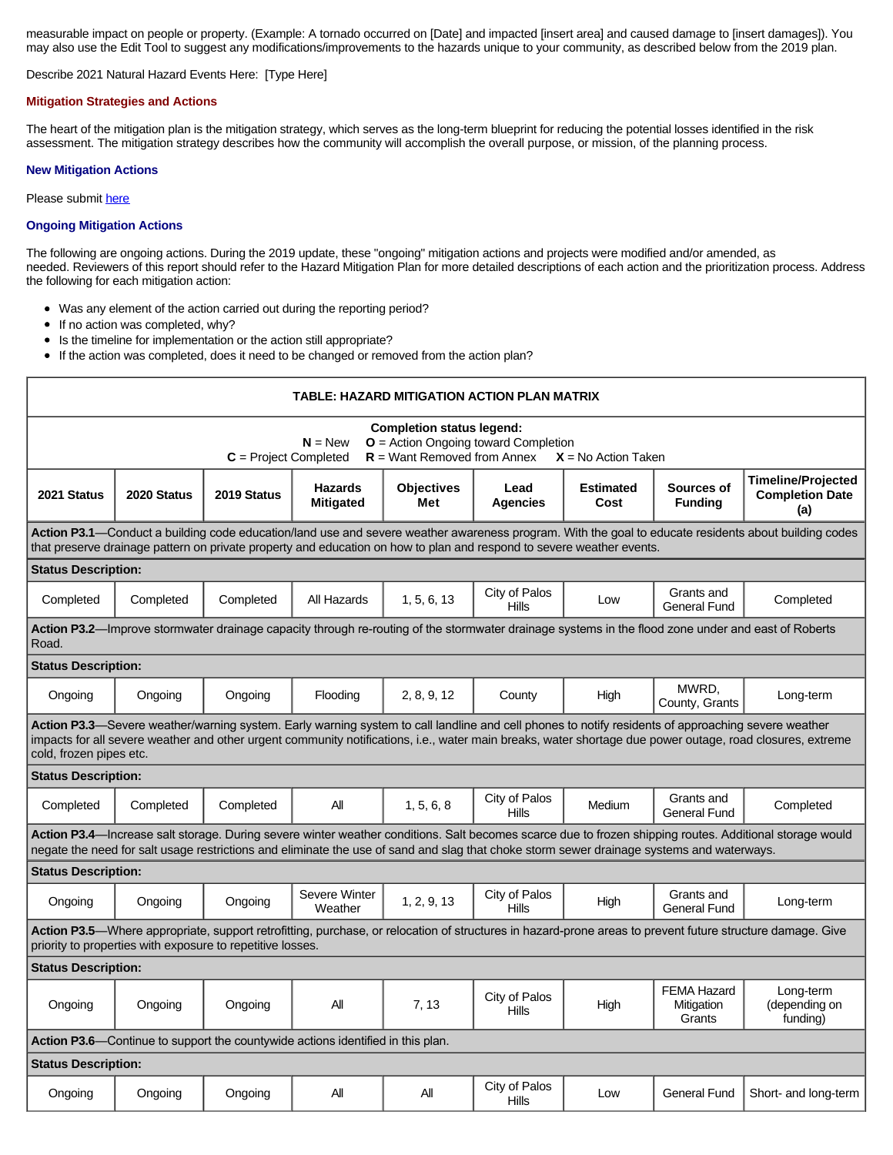measurable impact on people or property. (Example: A tornado occurred on [Date] and impacted [insert area] and caused damage to [insert damages]). You may also use the Edit Tool to suggest any modifications/improvements to the hazards unique to your community, as described below from the 2019 plan.

### Describe 2021 Natural Hazard Events Here: [Type Here]

#### **Mitigation Strategies and Actions**

The heart of the mitigation plan is the mitigation strategy, which serves as the long-term blueprint for reducing the potential losses identified in the risk assessment. The mitigation strategy describes how the community will accomplish the overall purpose, or mission, of the planning process.

### **New Mitigation Actions**

Please submit [here](https://integratedsolutions.wufoo.com/forms/mg21jvf0jn639o/)

## **Ongoing Mitigation Actions**

The following are ongoing actions. During the 2019 update, these "ongoing" mitigation actions and projects were modified and/or amended, as needed. Reviewers of this report should refer to the Hazard Mitigation Plan for more detailed descriptions of each action and the prioritization process. Address the following for each mitigation action:

- Was any element of the action carried out during the reporting period?
- If no action was completed, why?  $\bullet$
- Is the timeline for implementation or the action still appropriate?  $\bullet$
- If the action was completed, does it need to be changed or removed from the action plan?  $\bullet$

| TABLE: HAZARD MITIGATION ACTION PLAN MATRIX                                                                                                                                                                                                                                                                                                |             |             |                                    |                          |                               |                          |                                            |                                                            |  |  |  |
|--------------------------------------------------------------------------------------------------------------------------------------------------------------------------------------------------------------------------------------------------------------------------------------------------------------------------------------------|-------------|-------------|------------------------------------|--------------------------|-------------------------------|--------------------------|--------------------------------------------|------------------------------------------------------------|--|--|--|
| <b>Completion status legend:</b><br>$N = New$<br>$O =$ Action Ongoing toward Completion<br>$C = Project Completed$<br>$R =$ Want Removed from Annex<br>$X = No$ Action Taken                                                                                                                                                               |             |             |                                    |                          |                               |                          |                                            |                                                            |  |  |  |
| 2021 Status                                                                                                                                                                                                                                                                                                                                | 2020 Status | 2019 Status | <b>Hazards</b><br><b>Mitigated</b> | <b>Objectives</b><br>Met | Lead<br><b>Agencies</b>       | <b>Estimated</b><br>Cost | Sources of<br><b>Fundina</b>               | <b>Timeline/Projected</b><br><b>Completion Date</b><br>(a) |  |  |  |
| Action P3.1—Conduct a building code education/land use and severe weather awareness program. With the goal to educate residents about building codes<br>that preserve drainage pattern on private property and education on how to plan and respond to severe weather events.                                                              |             |             |                                    |                          |                               |                          |                                            |                                                            |  |  |  |
| <b>Status Description:</b>                                                                                                                                                                                                                                                                                                                 |             |             |                                    |                          |                               |                          |                                            |                                                            |  |  |  |
| Completed                                                                                                                                                                                                                                                                                                                                  | Completed   | Completed   | All Hazards                        | 1, 5, 6, 13              | City of Palos<br><b>Hills</b> | Low                      | Grants and<br>General Fund                 | Completed                                                  |  |  |  |
| Action P3.2—Improve stormwater drainage capacity through re-routing of the stormwater drainage systems in the flood zone under and east of Roberts<br>Road.                                                                                                                                                                                |             |             |                                    |                          |                               |                          |                                            |                                                            |  |  |  |
| <b>Status Description:</b>                                                                                                                                                                                                                                                                                                                 |             |             |                                    |                          |                               |                          |                                            |                                                            |  |  |  |
| Ongoing                                                                                                                                                                                                                                                                                                                                    | Ongoing     | Ongoing     | Flooding                           | 2, 8, 9, 12              | County                        | High                     | MWRD.<br>County, Grants                    | Long-term                                                  |  |  |  |
| Action P3.3—Severe weather/warning system. Early warning system to call landline and cell phones to notify residents of approaching severe weather<br>impacts for all severe weather and other urgent community notifications, i.e., water main breaks, water shortage due power outage, road closures, extreme<br>cold, frozen pipes etc. |             |             |                                    |                          |                               |                          |                                            |                                                            |  |  |  |
| <b>Status Description:</b>                                                                                                                                                                                                                                                                                                                 |             |             |                                    |                          |                               |                          |                                            |                                                            |  |  |  |
| Completed                                                                                                                                                                                                                                                                                                                                  | Completed   | Completed   | All                                | 1.5.6.8                  | City of Palos<br>Hills        | Medium                   | Grants and<br><b>General Fund</b>          | Completed                                                  |  |  |  |
| Action P3.4—Increase salt storage. During severe winter weather conditions. Salt becomes scarce due to frozen shipping routes. Additional storage would<br>negate the need for salt usage restrictions and eliminate the use of sand and slag that choke storm sewer drainage systems and waterways.                                       |             |             |                                    |                          |                               |                          |                                            |                                                            |  |  |  |
| <b>Status Description:</b>                                                                                                                                                                                                                                                                                                                 |             |             |                                    |                          |                               |                          |                                            |                                                            |  |  |  |
| Ongoing                                                                                                                                                                                                                                                                                                                                    | Ongoing     | Ongoing     | Severe Winter<br>Weather           | 1, 2, 9, 13              | City of Palos<br><b>Hills</b> | High                     | Grants and<br><b>General Fund</b>          | Long-term                                                  |  |  |  |
| Action P3.5—Where appropriate, support retrofitting, purchase, or relocation of structures in hazard-prone areas to prevent future structure damage. Give<br>priority to properties with exposure to repetitive losses.                                                                                                                    |             |             |                                    |                          |                               |                          |                                            |                                                            |  |  |  |
| <b>Status Description:</b>                                                                                                                                                                                                                                                                                                                 |             |             |                                    |                          |                               |                          |                                            |                                                            |  |  |  |
| Ongoing                                                                                                                                                                                                                                                                                                                                    | Ongoing     | Ongoing     | All                                | 7, 13                    | City of Palos<br>Hills        | High                     | <b>FEMA Hazard</b><br>Mitigation<br>Grants | Long-term<br>(depending on<br>funding)                     |  |  |  |
| <b>Action P3.6</b> —Continue to support the countywide actions identified in this plan.                                                                                                                                                                                                                                                    |             |             |                                    |                          |                               |                          |                                            |                                                            |  |  |  |
| <b>Status Description:</b>                                                                                                                                                                                                                                                                                                                 |             |             |                                    |                          |                               |                          |                                            |                                                            |  |  |  |
| Ongoing                                                                                                                                                                                                                                                                                                                                    | Ongoing     | Ongoing     | All                                | All                      | City of Palos<br>Hills        | Low                      | <b>General Fund</b>                        | Short- and long-term                                       |  |  |  |